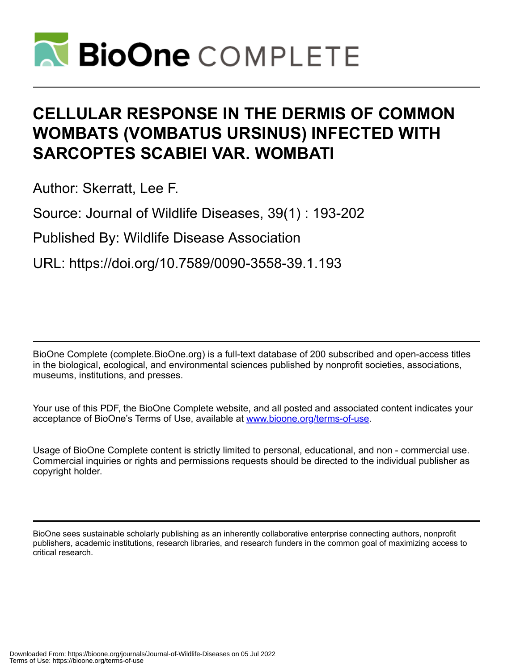

# **CELLULAR RESPONSE IN THE DERMIS OF COMMON WOMBATS (VOMBATUS URSINUS) INFECTED WITH SARCOPTES SCABIEI VAR. WOMBATI**

Author: Skerratt, Lee F.

Source: Journal of Wildlife Diseases, 39(1) : 193-202

Published By: Wildlife Disease Association

URL: https://doi.org/10.7589/0090-3558-39.1.193

BioOne Complete (complete.BioOne.org) is a full-text database of 200 subscribed and open-access titles in the biological, ecological, and environmental sciences published by nonprofit societies, associations, museums, institutions, and presses.

Your use of this PDF, the BioOne Complete website, and all posted and associated content indicates your acceptance of BioOne's Terms of Use, available at www.bioone.org/terms-of-use.

Usage of BioOne Complete content is strictly limited to personal, educational, and non - commercial use. Commercial inquiries or rights and permissions requests should be directed to the individual publisher as copyright holder.

BioOne sees sustainable scholarly publishing as an inherently collaborative enterprise connecting authors, nonprofit publishers, academic institutions, research libraries, and research funders in the common goal of maximizing access to critical research.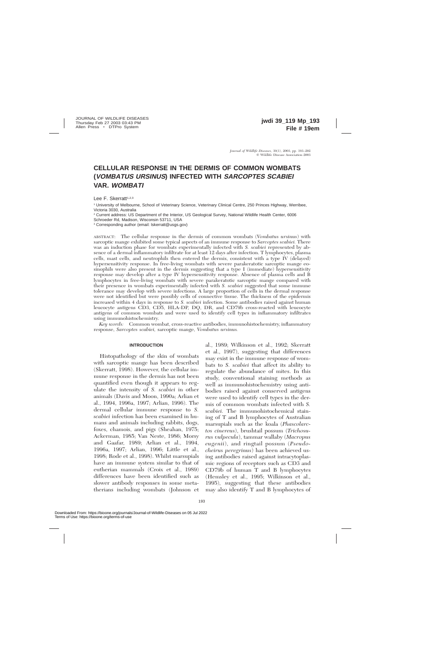# **CELLULAR RESPONSE IN THE DERMIS OF COMMON WOMBATS (VOMBATUS URSINUS) INFECTED WITH SARCOPTES SCABIEI VAR. WOMBATI**

Lee F. Skerratt<sup>1,2,3</sup>

<sup>1</sup> University of Melbourne, School of Veterinary Science, Veterinary Clinical Centre, 250 Princes Highway, Werribee, Victoria 3030, Australia

<sup>2</sup> Current address: US Department of the Interior, US Geological Survey, National Wildlife Health Center, 6006

Schroeder Rd, Madison, Wisconsin 53711, USA

<sup>3</sup> Corresponding author (email: lskerratt@usgs.gov)

ABSTRACT: The cellular response in the dermis of common wombats (*Vombatus ursinus*) with sarcoptic mange exhibited some typical aspects of an immune response to *Sarcoptes scabiei.* There was an induction phase for wombats experimentally infected with *S. scabiei* represented by absence of a dermal inflammatory infiltrate for at least 12 days after infection. T lymphocytes, plasma cells, mast cells, and neutrophils then entered the dermis, consistent with a type IV (delayed) hypersensitivity response. In free-living wombats with severe parakeratotic sarcoptic mange eosinophils were also present in the dermis suggesting that a type I (immediate) hypersensitivity response may develop after a type IV hypersensitivity response. Absence of plasma cells and B lymphocytes in free-living wombats with severe parakeratotic sarcoptic mange compared with their presence in wombats experimentally infected with *S. scabiei* suggested that some immune tolerance may develop with severe infections. A large proportion of cells in the dermal response were not identified but were possibly cells of connective tissue. The thickness of the epidermis increased within 4 days in response to *S. scabiei* infection. Some antibodies raised against human leucocyte antigens CD3, CD5, HLA-DP, DQ, DR, and CD79b cross-reacted with leucocyte antigens of common wombats and were used to identify cell types in inflammatory infiltrates using immunohistochemistry.

*Key words:* Common wombat, cross-reactive antibodies, immunohistochemistry, inflammatory response, *Sarcoptes scabiei,* sarcoptic mange, *Vombatus ursinus.*

#### **INTRODUCTION**

Histopathology of the skin of wombats with sarcoptic mange has been described (Skerratt, 1998). However, the cellular immune response in the dermis has not been quantified even though it appears to regulate the intensity of *S. scabiei* in other animals (Davis and Moon, 1990a; Arlian et al., 1994, 1996a, 1997; Arlian, 1996). The dermal cellular immune response to *S. scabiei* infection has been examined in humans and animals including rabbits, dogs, foxes, chamois, and pigs (Sheahan, 1975; Ackerman, 1985; Van Neste, 1986; Morsy and Gaafar, 1989; Arlian et al., 1994, 1996a, 1997; Arlian, 1996; Little et al., 1998; Rode et al., 1998). Whilst marsupials have an immune system similar to that of eutherian mammals (Croix et al., 1989) differences have been identified such as slower antibody responses in some metatherians including wombats (Johnson et

al., 1989; Wilkinson et al., 1992; Skerratt et al., 1997), suggesting that differences may exist in the immune response of wombats to *S. scabiei* that affect its ability to regulate the abundance of mites. In this study, conventional staining methods as well as immunohistochemistry using antibodies raised against conserved antigens were used to identify cell types in the dermis of common wombats infected with *S. scabiei.* The immunohistochemical staining of T and B lymphocytes of Australian marsupials such as the koala (*Phascolarctos cinereus*), brushtail possum (*Trichosurus vulpecula*), tammar wallaby (*Macropus eugenii*), and ringtail possum (*Pseudocheirus peregrinus*) has been achieved using antibodies raised against intracytoplasmic regions of receptors such as CD3 and CD79b of human T and B lymphocytes (Hemsley et al., 1995; Wilkinson et al., 1995), suggesting that these antibodies may also identify T and B lymphocytes of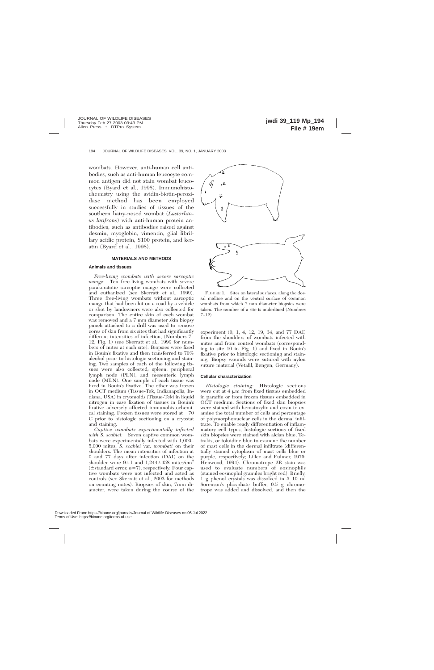wombats. However, anti-human cell antibodies, such as anti-human leucocyte common antigen did not stain wombat leucocytes (Byard et al., 1998). Immunohistochemistry using the avidin-biotin-peroxidase method has been employed successfully in studies of tissues of the southern hairy-nosed wombat (*Lasiorhinus latifrons*) with anti-human protein antibodies, such as antibodies raised against desmin, myoglobin, vimentin, glial fibrillary acidic protein, S100 protein, and keratin (Byard et al., 1998).

#### **MATERIALS AND METHODS**

#### **Animals and tissues**

*Free-living wombats with severe sarcoptic mange:* Ten free-living wombats with severe parakeratotic sarcoptic mange were collected and euthanized (see Skerratt et al., 1999). Three free-living wombats without sarcoptic mange that had been hit on a road by a vehicle or shot by landowners were also collected for comparison. The entire skin of each wombat was removed and a 7 mm diameter skin biopsy punch attached to a drill was used to remove cores of skin from six sites that had significantly different intensities of infection, (Numbers 7– 12, Fig. 1) (see Skerratt et al., 1999 for numbers of mites at each site). Biopsies were fixed in Bouin's fixative and then transferred to 70% alcohol prior to histologic sectioning and staining. Two samples of each of the following tissues were also collected; spleen, peripheral lymph node (PLN), and mesenteric lymph node (MLN). One sample of each tissue was fixed in Bouin's fixative. The other was frozen in OCT medium (Tissue-Tek, Indianapolis, Indiana, USA) in cryomolds (Tissue-Tek) in liquid nitrogen in case fixation of tissues in Bouin's fixative adversely affected immunohistochemical staining. Frozen tissues were stored at  $-70$ C prior to histologic sectioning on a cryostat and staining.

*Captive wombats experimentally infected with S. scabiei:* Seven captive common wombats were experimentally infected with 1,000– 5,000 mites, *S. scabiei* var. *wombati* on their shoulders. The mean intensities of infection at 0 and 77 days after infection (DAI) on the shoulder were  $9\pm1$  and  $1,244\pm458$  mites/cm<sup>2</sup>  $(\pm$ standard error,  $n=7$ ), respectively. Four captive wombats were not infected and acted as controls (see Skerratt et al., 2003 for methods on counting mites). Biopsies of skin, 7mm diameter, were taken during the course of the



FIGURE 1. Sites on lateral surfaces, along the dorsal midline and on the ventral surface of common wombats from which 7 mm diameter biopsies were taken. The number of a site is underlined (Numbers 7–12).

experiment (0, 1, 4, 12, 19, 34, and 77 DAI) from the shoulders of wombats infected with mites and from control wombats (corresponding to site 10 in Fig. 1) and fixed in Bouin's fixative prior to histologic sectioning and staining. Biopsy wounds were sutured with nylon suture material (Vetafil, Bengen, Germany).

#### **Cellular characterization**

*Histologic staining:* Histologic sections were cut at  $4 \mu m$  from fixed tissues embedded in paraffin or from frozen tissues embedded in OCT medium. Sections of fixed skin biopsies were stained with hematoxylin and eosin to examine the total number of cells and percentage of polymorphonuclear cells in the dermal infiltrate. To enable ready differentiation of inflammatory cell types, histologic sections of fixed skin biopsies were stained with alcian blue, Tetrakis, or toluidine blue to examine the number of mast cells in the dermal infiltrate (differentially stained cytoplasm of mast cells blue or purple, respectively; Lillee and Fulmer, 1976; Henwood, 1994). Chromotrope 2R stain was used to evaluate numbers of eosinophils (stained eosinophil granules bright red). Briefly, 1 g phenol crystals was dissolved in 5–10 ml Sorenson's phosphate buffer, 0.5 g chromotrope was added and dissolved, and then the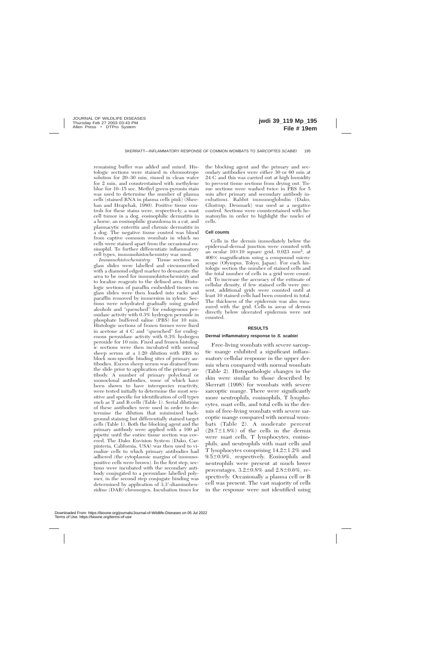remaining buffer was added and mixed. Histologic sections were stained in chromotrope solution for 20–30 min, rinsed in clean water for 2 min, and counterstained with methylene blue for 10–15 sec. Methyl green-pyronin stain was used to determine the number of plasma cells (stained RNA in plasma cells pink) (Sheehan and Hrapchak, 1980). Positive tissue controls for these stains were, respectively, a mast cell tumor in a dog, eosinophilic dermatitis in a horse, an eosinophilic granuloma in a cat, and plasmacytic enteritis and chronic dermatitis in a dog. The negative tissue control was blood from captive common wombats in which no cells were stained apart from the occasional eosinophil. To further differentiate inflammatory cell types, immunohistochemistry was used.

*Immunohistochemistry:* Tissue sections on glass slides were labelled and circumscribed with a diamond edged marker to demarcate the area to be used for immunohistochemistry and to localize reagents to the defined area. Histologic sections of paraffin embedded tissues on glass slides were then loaded into racks and paraffin removed by immersion in xylene. Sections were rehydrated gradually using graded alcohols and ''quenched'' for endogenous peroxidase activity with 0.3% hydrogen peroxide in phosphate buffered saline (PBS) for 10 min. Histologic sections of frozen tissues were fixed in acetone at 4 C and "quenched" for endogenous peroxidase activity with 0.3% hydrogen peroxide for 10 min. Fixed and frozen histologic sections were then incubated with normal sheep serum at a 1:20 dilution with PBS to block non-specific binding sites of primary antibodies. Excess sheep serum was drained from the slide prior to application of the primary antibody. A number of primary polyclonal or monoclonal antibodies, some of which have been shown to have interspecies reactivity, were tested initially to determine the most sensitive and specific for identification of cell types such as T and B cells (Table 1). Serial dilutions of these antibodies were used in order to determine the dilution that minimized background staining but differentially stained target cells (Table 1). Both the blocking agent and the primary antibody were applied with a 100 ml pipette until the entire tissue section was covered. The Dako Envision System (Dako, Carpinteria, California, USA) was then used to visualize cells to which primary antibodies had adhered (the cytoplasmic margins of immunopositive cells were brown). In the first step, sections were incubated with the secondary antibody conjugated to a peroxidase labelled polymer, in the second step conjugate binding was determined by application of 3,3'-diaminobenzidine (DAB) chromogen. Incubation times for

the blocking agent and the primary and secondary antibodies were either 30 or 60 min at 24 C and this was carried out at high humidity to prevent tissue sections from drying out. Tissue sections were washed twice in PBS for 5 min after primary and secondary antibody incubations. Rabbit immunoglobulin (Dako, Glostrup, Denmark) was used as a negative control. Sections were counterstained with hematoxylin in order to highlight the nuclei of cells.

#### **Cell counts**

Cells in the dermis immediately below the epidermal-dermal junction were counted with an ocular  $10\times10$  square grid, 0.023 mm<sup>2</sup>, at 4003 magnification using a compound microscope (Olympus, Tokyo, Japan). For each histologic section the number of stained cells and the total number of cells in a grid were counted. To increase the accuracy of the estimate of cellular density, if few stained cells were present, additional grids were counted until at least 10 stained cells had been counted in total. The thickness of the epidermis was also measured with the grid. Cells in areas of dermis directly below ulcerated epidermis were not counted.

#### **RESULTS**

#### **Dermal inflammatory response to S. scabiei**

Free-living wombats with severe sarcoptic mange exhibited a significant inflammatory cellular response in the upper dermis when compared with normal wombats (Table 2). Histopathologic changes in the skin were similar to those described by Skerratt (1998) for wombats with severe sarcoptic mange. There were significantly more neutrophils, eosinophils, T lymphocytes, mast cells, and total cells in the dermis of free-living wombats with severe sarcoptic mange compared with normal wombats (Table 2). A moderate percent  $(29.7\pm1.8\%)$  of the cells in the dermis were mast cells, T lymphocytes, eosinophils, and neutrophils with mast cells and T lymphocytes comprising  $14.2 \pm 1.2\%$  and  $9.5\pm0.9\%$ , respectively. Eosinophils and neutrophils were present at much lower percentages,  $3.2 \pm 0.8\%$  and  $2.8 \pm 0.6\%$ , respectively. Occasionally a plasma cell or B cell was present. The vast majority of cells in the response were not identified using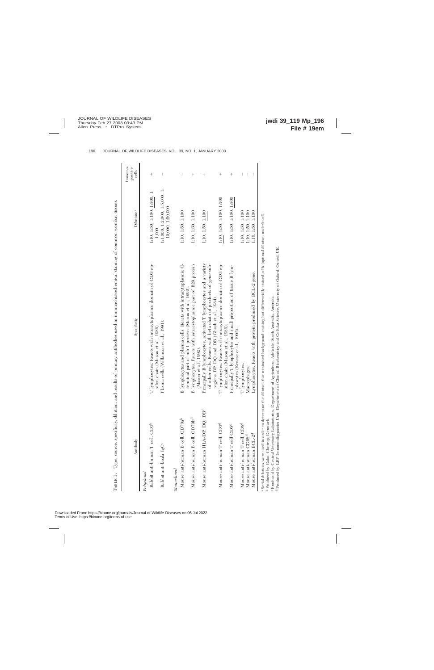| Antibody                                     | Specificity                                                                                                                                                                        | Dilutions <sup>a</sup>                            | Immuno-<br>positive<br>cells |
|----------------------------------------------|------------------------------------------------------------------------------------------------------------------------------------------------------------------------------------|---------------------------------------------------|------------------------------|
| Polyclonal                                   |                                                                                                                                                                                    |                                                   |                              |
| Rabbit anti-human T cell, CD3 <sup>b</sup>   | T lymphocytes. Reacts with intracytoplasmic domain of CD3 ep-                                                                                                                      | 1:10, 1:50, 1:100, 1:500, 1:<br>1,000             | $^{+}$                       |
| Rabbit anti-koala IgG <sup>c</sup>           | Plasma cells (Wilkinson et al., 1991).<br>silon chain (Mason et al., 1989).                                                                                                        | 1:1,000, 1:2,000, 1:5,000, 1:<br>10,000, 1:20,000 | $\mid$                       |
| Monotonal                                    |                                                                                                                                                                                    |                                                   |                              |
| Mouse anti-human B cell, CD79a <sup>b</sup>  | B lymphocytes and plasma cells. Reacts with intracytoplasmic C-<br>terminal part of mb-1 protein (Mason et al., 1992)                                                              | 1:10, 1:50, 1:100                                 |                              |
| Mouse anti-human B cell, CD79b <sup>d</sup>  | B lymphocytes. Reacts with intracytoplasmic part of B29 protein<br>(Mason et al., 1992).                                                                                           | 1:10, 1:50, 1:100                                 | $^+$                         |
| Mouse anti-human HLA-DP, DQ, DR <sup>d</sup> | Principally B lymphocytes, activated T lymphocytes and a variety<br>of other cells. Reacts with beta chain of products of gene sub-<br>regions DP, DQ and DR (Ghosh et al., 1984). | 1:10, 1:50, 1:100                                 | $^+$                         |
| Mouse anti-human T cell, CD3 <sup>d</sup>    | T lymphocytes. Reacts with intracytoplasmic domain of CD3 ep-<br>silon chain (Mason et al., 1989)                                                                                  | 1:10, 1:50, 1:100, 1:500                          | $^{+}$                       |
| Mouse anti-human T cell CD5 <sup>d</sup>     | Principally T lymphocytes and small proportion of tissue B lym-<br>phocytes (Kroese et al., 1992).                                                                                 | 1:10, 1:50, 1:100, 1:500                          | $\hspace{0.1mm} +$           |
| Mouse anti-human T cell, CD8 <sup>d</sup>    | T lymphocytes.                                                                                                                                                                     | 1:10, 1:50, 1:100                                 |                              |
| Mouse anti-human CD68 <sup>d</sup>           | Macrophages.                                                                                                                                                                       | 1:10, 1:50, 1:100                                 |                              |
| Mouse anti-human BCL-2 <sup>d</sup>          | Lymphocytes. Reacts with protein produced by BCL-2 gene.                                                                                                                           | 1:10, 1:50, 1:100                                 |                              |

Produced by Central Veterinary Laboratories, Department of Agriculture, Adelaide, South Australia, Australia.

ంద

Produced by LRF Immunodiagnostics Unit, Department of Clinical Biochemistry and Cellular Science, University of Oxford, Oxford, UK.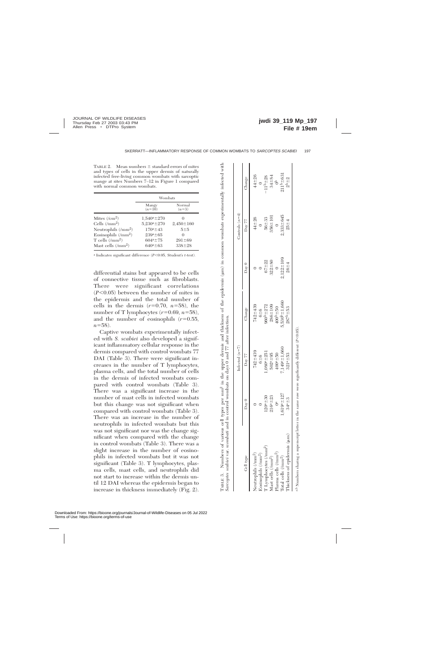TABLE 2. Mean numbers  $\pm$  standard errors of mites and types of cells in the upper dermis of naturally infected free-living common wombats with sarcoptic mange at sites Numbers 7–12 in Figure 1 compared with normal common wombats.

|                                 | Wombats           |                   |
|---------------------------------|-------------------|-------------------|
|                                 | Mangy<br>$(n=10)$ | Normal<br>$(n=3)$ |
| Mites $(\text{/}cm^2)$          | $1,540^a \pm 270$ |                   |
| Cells $(\text{/mm}^2)$          | $5,230^a \pm 270$ | $2,450 \pm 160$   |
| Neutrophils $(\text{/mm}^2)$    | $170^a \pm 43$    | 5±5               |
| Eosinophils (/mm <sup>2</sup> ) | $239^a \pm 65$    | $\mathbf{\Omega}$ |
| T cells $(\text{/mm}^2)$        | $604^a + 75$      | $291 \pm 69$      |
| Mast cells $(\text{/mm}^2)$     | $640a + 63$       | $338 \pm 28$      |

<sup>a</sup> Indicates significant difference (*P*<0.05, Student's *t*-test).

differential stains but appeared to be cells of connective tissue such as fibroblasts. There were significant correlations  $(P<0.05)$  between the number of mites in the epidermis and the total number of cells in the dermis  $(r=0.70, n=58)$ , the number of T lymphocytes  $(r=0.69, n=58)$ , and the number of eosinophils  $(r=0.55,$  $n = 58$ ).

Captive wombats experimentally infected with *S. scabiei* also developed a significant inflammatory cellular response in the dermis compared with control wombats 77 DAI (Table 3). There were significant increases in the number of T lymphocytes, plasma cells, and the total number of cells in the dermis of infected wombats compared with control wombats (Table 3). There was a significant increase in the number of mast cells in infected wombats but this change was not significant when compared with control wombats (Table 3). There was an increase in the number of neutrophils in infected wombats but this was not significant nor was the change significant when compared with the change in control wombats (Table 3). There was a slight increase in the number of eosinophils in infected wombats but it was not significant (Table 3). T lymphocytes, plasma cells, mast cells, and neutrophils did not start to increase within the dermis until 12 DAI whereas the epidermis began to increase in thickness immediately (Fig. 2).

|                                                                                                                                                     |                   | Infected $(n=7)$   |                       |                   | Controls $(n=4)$ |                               |
|-----------------------------------------------------------------------------------------------------------------------------------------------------|-------------------|--------------------|-----------------------|-------------------|------------------|-------------------------------|
| Cell type                                                                                                                                           | $\sum_{\alpha}$   | Day 77             | Change                | $_{\text{Dev}}$ 0 | Day 77           | Change                        |
| Neutrophils (/mm <sup>2</sup> )                                                                                                                     |                   | $742 + 439$        | $742 + 439$           |                   | $44 + 26$        | $44 + 26$                     |
|                                                                                                                                                     |                   | $6 + 6$            | $6 + 6$               |                   |                  |                               |
|                                                                                                                                                     | $120^{a} \pm 30$  | $.080^{a+251}$     | 960 <sup>b</sup> ±272 | $67 + 22$         | $56 + 33$        | $11^{b} = 28$                 |
| $\begin{array}{l} \mbox{Eosinophils}\ (\mbox{mm}^2)\\ \mbox{T}\ \mbox{Lymphocytes}\ (\mbox{mm}^2)\\ \mbox{Mast cells}\ (\mbox{mm}^2)\\ \end{array}$ | $216^a \pm 23$    | $502^{a} \pm 95$   | $286 \pm 109$         | $322 + 80$        | $356 \pm 101$    |                               |
|                                                                                                                                                     |                   | $400^a \pm 50$     | $400b + 50$           |                   |                  | $34 \pm 84$<br>0 <sup>b</sup> |
| $\mbox{Total cells}~(\mbox{/mm}^2)$                                                                                                                 | $1,619^a \pm 127$ | $1,149a \pm 1,660$ | $5,530^{b} \pm 1,660$ | $2,122 \pm 109$   | 2,333±645        | $211^{b} \pm 631$             |
| Thickness of epidermis (µm)                                                                                                                         | $34^{a} \pm 3$    | $321^{a} \pm 53$   | $287^{b} \pm 53$      | $26 - 4$          | $25 - 4$         | $2^{b+2}$                     |

TABLE 3. Numbers of various cell types per mm2 in the upper dermis and thickness of the epidermis (mm) in common wombats experimentally infected with

 $\dot{\infty}$ TABLE

Numbers of various cell types per mm<sup>2</sup> in the upper dermis and thickness of the epidermis ( $\mu$ m) in common wombats experimentally infected with

a,b Numbers sharing a superscript letter in the same row were significantly different (*P*,0.05). Ab Numbers sharing a superscript letter in the same row were significantly different (P<0.05)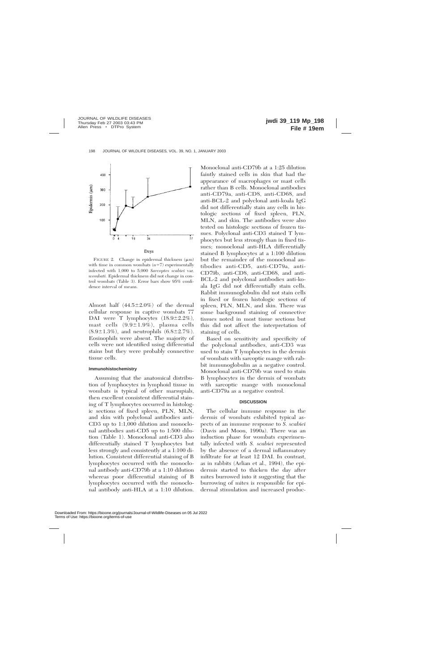

FIGURE 2. Change in epidermal thickness  $(\mu m)$ with time in common wombats  $(n=7)$  experimentally infected with 1,000 to 5,000 *Sarcoptes scabiei* var. *wombati.* Epidermal thickness did not change in control wombats (Table 3). Error bars show 95% confidence interval of means.

Almost half  $(44.5\pm2.0\%)$  of the dermal cellular response in captive wombats 77 DAI were T lymphocytes  $(18.9 \pm 2.2\%)$ , mast cells  $(9.9 \pm 1.9\%)$ , plasma cells  $(8.9 \pm 1.3\%)$ , and neutrophils  $(6.8 \pm 2.7\%)$ . Eosinophils were absent. The majority of cells were not identified using differential stains but they were probably connective tissue cells.

#### **Immunohistochemistry**

Assuming that the anatomical distribution of lymphocytes in lymphoid tissue in wombats is typical of other marsupials, then excellent consistent differential staining of T lymphocytes occurred in histologic sections of fixed spleen, PLN, MLN, and skin with polyclonal antibodies anti-CD3 up to 1:1,000 dilution and monoclonal antibodies anti-CD5 up to 1:500 dilution (Table 1). Monoclonal anti-CD3 also differentially stained T lymphocytes but less strongly and consistently at a 1:100 dilution. Consistent differential staining of B lymphocytes occurred with the monoclonal antibody anti-CD79b at a 1:10 dilution whereas poor differential staining of B lymphocytes occurred with the monoclonal antibody anti-HLA at a 1:10 dilution.

Monoclonal anti-CD79b at a 1:25 dilution faintly stained cells in skin that had the appearance of macrophages or mast cells rather than B cells. Monoclonal antibodies anti-CD79a, anti-CD8, anti-CD68, and anti-BCL-2 and polyclonal anti-koala IgG did not differentially stain any cells in histologic sections of fixed spleen, PLN, MLN, and skin. The antibodies were also tested on histologic sections of frozen tissues. Polyclonal anti-CD3 stained T lymphocytes but less strongly than in fixed tissues; monoclonal anti-HLA differentially stained B lymphocytes at a 1:100 dilution but the remainder of the monoclonal antibodies anti-CD5, anti-CD79a, anti-CD79b, anti-CD8, anti-CD68, and anti-BCL-2 and polyclonal antibodies anti-koala IgG did not differentially stain cells. Rabbit immunoglobulin did not stain cells in fixed or frozen histologic sections of spleen, PLN, MLN, and skin. There was some background staining of connective tissues noted in most tissue sections but this did not affect the interpretation of staining of cells.

Based on sensitivity and specificity of the polyclonal antibodies, anti-CD3 was used to stain T lymphocytes in the dermis of wombats with sarcoptic mange with rabbit immunoglobulin as a negative control. Monoclonal anti-CD79b was used to stain B lymphocytes in the dermis of wombats with sarcoptic mange with monoclonal anti-CD79a as a negative control.

#### **DISCUSSION**

The cellular immune response in the dermis of wombats exhibited typical aspects of an immune response to *S. scabiei* (Davis and Moon, 1990a). There was an induction phase for wombats experimentally infected with *S. scabiei* represented by the absence of a dermal inflammatory infiltrate for at least 12 DAI. In contrast, as in rabbits (Arlian et al., 1994), the epidermis started to thicken the day after mites burrowed into it suggesting that the burrowing of mites is responsible for epidermal stimulation and increased produc-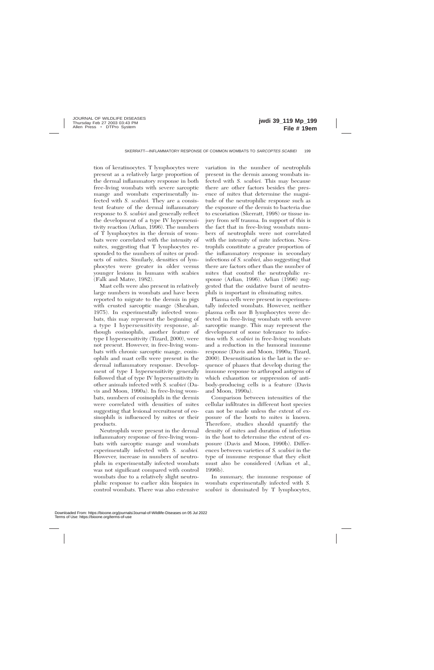tion of keratinocytes. T lymphocytes were present as a relatively large proportion of the dermal inflammatory response in both free-living wombats with severe sarcoptic mange and wombats experimentally infected with *S. scabiei.* They are a consistent feature of the dermal inflammatory response to *S. scabiei* and generally reflect the development of a type IV hypersensitivity reaction (Arlian, 1996). The numbers of T lymphocytes in the dermis of wombats were correlated with the intensity of mites, suggesting that T lymphocytes responded to the numbers of mites or products of mites. Similarly, densities of lymphocytes were greater in older versus younger lesions in humans with scabies (Falk and Matre, 1982).

Mast cells were also present in relatively large numbers in wombats and have been reported to migrate to the dermis in pigs with crusted sarcoptic mange (Sheahan, 1975). In experimentally infected wombats, this may represent the beginning of a type I hypersensitivity response, although eosinophils, another feature of type I hypersensitivity (Tizard, 2000), were not present. However, in free-living wombats with chronic sarcoptic mange, eosinophils and mast cells were present in the dermal inflammatory response. Development of type I hypersensitivity generally followed that of type IV hypersensitivity in other animals infected with *S. scabiei* (Davis and Moon, 1990a). In free-living wombats, numbers of eosinophils in the dermis were correlated with densities of mites suggesting that lesional recruitment of eosinophils is influenced by mites or their products.

Neutrophils were present in the dermal inflammatory response of free-living wombats with sarcoptic mange and wombats experimentally infected with *S. scabiei.* However, increase in numbers of neutrophils in experimentally infected wombats was not significant compared with control wombats due to a relatively slight neutrophilic response to earlier skin biopsies in control wombats. There was also extensive variation in the number of neutrophils present in the dermis among wombats infected with *S. scabiei.* This may because there are other factors besides the presence of mites that determine the magnitude of the neutrophilic response such as the exposure of the dermis to bacteria due to excoriation (Skerratt, 1998) or tissue injury from self trauma. In support of this is the fact that in free-living wombats numbers of neutrophils were not correlated with the intensity of mite infection. Neutrophils constitute a greater proportion of the inflammatory response in secondary infections of *S. scabiei,* also suggesting that there are factors other than the number of mites that control the neutrophilic response (Arlian, 1996). Arlian (1996) suggested that the oxidative burst of neutrophils is important in eliminating mites.

Plasma cells were present in experimentally infected wombats. However, neither plasma cells nor B lymphocytes were detected in free-living wombats with severe sarcoptic mange. This may represent the development of some tolerance to infection with *S. scabiei* in free-living wombats and a reduction in the humoral immune response (Davis and Moon, 1990a; Tizard, 2000). Desensitisation is the last in the sequence of phases that develop during the immune response to arthropod antigens of which exhaustion or suppression of antibody-producing cells is a feature (Davis and Moon, 1990a).

Comparison between intensities of the cellular infiltrates in different host species can not be made unless the extent of exposure of the hosts to mites is known. Therefore, studies should quantify the density of mites and duration of infection in the host to determine the extent of exposure (Davis and Moon, 1990b). Differences between varieties of *S. scabiei* in the type of immune response that they elicit must also be considered (Arlian et al., 1996b).

In summary, the immune response of wombats experimentally infected with *S. scabiei* is dominated by T lymphocytes,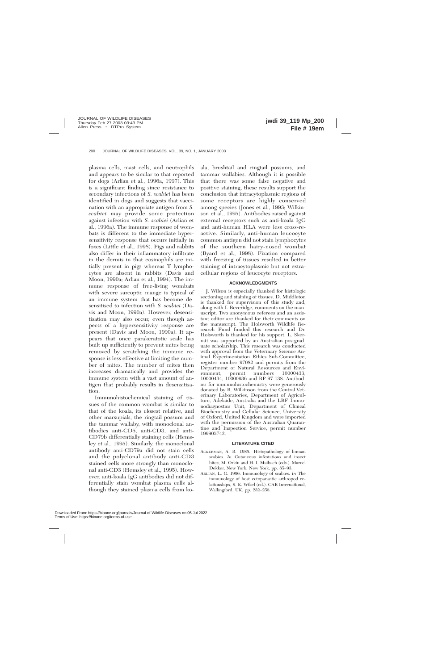plasma cells, mast cells, and neutrophils and appears to be similar to that reported for dogs (Arlian et al., 1996a, 1997). This is a significant finding since resistance to secondary infections of *S. scabiei* has been identified in dogs and suggests that vaccination with an appropriate antigen from *S. scabiei* may provide some protection against infection with *S. scabiei* (Arlian et al., 1996a). The immune response of wombats is different to the immediate hypersensitivity response that occurs initially in foxes (Little et al., 1998). Pigs and rabbits also differ in their inflammatory infiltrate in the dermis in that eosinophils are initially present in pigs whereas T lymphocytes are absent in rabbits (Davis and Moon, 1990a; Arlian et al., 1994). The immune response of free-living wombats with severe sarcoptic mange is typical of an immune system that has become desensitised to infection with *S. scabiei* (Davis and Moon, 1990a). However, desensitisation may also occur, even though aspects of a hypersensitivity response are present (Davis and Moon, 1990a). It appears that once parakeratotic scale has built up sufficiently to prevent mites being removed by scratching the immune response is less effective at limiting the number of mites. The number of mites then increases dramatically and provides the immune system with a vast amount of antigen that probably results in desensitisation.

Immunohistochemical staining of tissues of the common wombat is similar to that of the koala, its closest relative, and other marsupials, the ringtail possum and the tammar wallaby, with monoclonal antibodies anti-CD5, anti-CD3, and anti-CD79b differentially staining cells (Hemsley et al., 1995). Similarly, the monoclonal antibody anti-CD79a did not stain cells and the polyclonal antibody anti-CD3 stained cells more strongly than monoclonal anti-CD3 (Hemsley et al., 1995). However, anti-koala IgG antibodies did not differentially stain wombat plasma cells although they stained plasma cells from koala, brushtail and ringtail possums, and tammar wallabies. Although it is possible that there was some false negative and positive staining, these results support the conclusion that intracytoplasmic regions of some receptors are highly conserved among species (Jones et al., 1993; Wilkinson et al., 1995). Antibodies raised against external receptors such as anti-koala IgG and anti-human HLA were less cross-reactive. Similarly, anti-human leucocyte common antigen did not stain lymphocytes of the southern hairy-nosed wombat (Byard et al., 1998). Fixation compared with freezing of tissues resulted in better staining of intracytoplasmic but not extracellular regions of leucocyte receptors.

### **ACKNOWLEDGMENTS**

J. Wilson is especially thanked for histologic sectioning and staining of tissues. D. Middleton is thanked for supervision of this study and, along with I. Beveridge, comments on the manuscript. Two anonymous referees and an assistant editor are thanked for their comments on the manuscript. The Holsworth Wildlife Research Fund funded this research and Dr. Holsworth is thanked for his support. L. Skerratt was supported by an Australian postgraduate scholarship. This research was conducted with approval from the Veterinary Science Animal Experimentation Ethics Sub-Committee, register number 97082 and permits from the Department of Natural Resources and Environment, permit numbers 10000433, 10000434, 10000936 and RP-97-138. Antibodies for immunohistochemistry were generously donated by R. Wilkinson from the Central Veterinary Laboratories, Department of Agriculture, Adelaide, Australia and the LRF Immunodiagnostics Unit, Department of Clinical Biochemistry and Cellular Science, University of Oxford, United Kingdom and were imported with the permission of the Australian Quarantine and Inspection Service, permit number 199905742.

## **LITERATURE CITED**

- ACKERMAN, A. B. 1985. Histopathology of human scabies. *In* Cutaneous infestations and insect bites, M. Orkin and H. I. Maibach (eds.). Marcel Dekker, New York, New York, pp. 85–93.
- ARLIAN, L. G. 1996. Immunology of scabies. *In* The immunology of host ectoparasitic arthropod relationships, S. K. Wikel (ed.). CAB International, Wallingford, UK, pp. 232–258.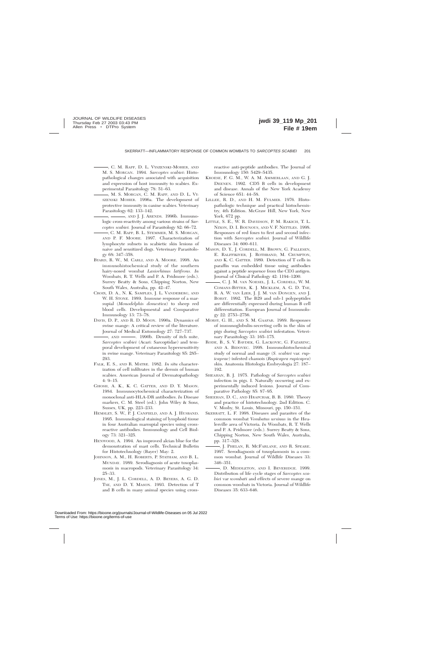, C. M. RAPP, D. L. VYSZENSKI-MOHER, AND M. S. MORGAN. 1994. *Sarcoptes scabiei*: Histopathological changes associated with acquisition and expression of host immunity to scabies. Experimental Parasitology 78: 51–63.

, M. S. MORGAN, C. M. RAPP, AND D. L. VY-SZENSKI MOHER. 1996a. The development of protective immunity in canine scabies. Veterinary Parasitology 62: 133–142.

, ——, AND J. J. ARENDS. 1996b. Immunologic cross-reactivity among various strains of *Sarcoptes scabiei.* Journal of Parasitology 82: 66–72.

- , C. M. RAPP, B. L. STEMMER, M. S. MORGAN, AND P. F. MOORE. 1997. Characterization of lymphocyte subsets in scabietic skin lesions of naive and sensitized dogs. Veterinary Parasitology 68: 347–358.
- BYARD, R. W., M. CARLI, AND A. MOORE. 1998. An immunohistochemical study of the southern hairy-nosed wombat *Lasiorhinus latifrons. In* Wombats, R. T. Wells and P. A. Pridmore (eds.). Surrey Beatty & Sons, Chipping Norton, New South Wales, Australia, pp. 42–47.
- CROIX, D. A., N. K. SAMPLES, J. L. VANDEBERG, AND W. H. STONE. 1989. Immune response of a marsupial (*Monodelphis domestica*) to sheep red blood cells. Developmental and Comparative Immunology 13: 73–78.
- DAVIS, D. P., AND R. D. MOON. 1990a. Dynamics of swine mange: A critical review of the literature. Journal of Medical Entomology 27: 727–737.

-, AND . 1990b. Density of itch mite, *Sarcoptes scabiei* (Acari: Sarcoptidae) and temporal development of cutaneous hypersensitivity in swine mange. Veterinary Parasitology 85: 285– 293.

- FALK, E. S., AND R. MATRE. 1982. *In situ* characterization of cell infiltrates in the dermis of human scabies. American Journal of Dermatopathology 4: 9–15.
- GHOSH, A. K., K. C. GATTER, AND D. Y. MASON. 1984. Immunocytochemical characterization of monoclonal anti-HLA-DR antibodies. *In* Disease markers, C. M. Steel (ed.). John Wiley & Sons, Sussex, UK, pp. 223–233.
- HEMSLEY, S. W., P. J. CANFIELD, AND A. J. HUSBAND. 1995. Immunological staining of lymphoid tissue in four Australian marsupial species using crossreactive antibodies. Immunology and Cell Biology 73: 321–325.
- HENWOOD, A. 1994. An improved alcian blue for the demonstration of mast cells. Technical Bulletin for Histotechnology (Bayer) May: 2.
- JOHNSON, A. M., H. ROBERTS, P. STATHAM, AND B. L. MUNDAY. 1989. Serodiagnosis of acute toxoplasmosis in macropods. Veterinary Parasitology 34: 25–33.
- JONES, M., J. L. CORDELL, A. D. BEYERS, A. G. D. TSE, AND D. Y. MASON. 1993. Detection of T and B cells in many animal species using cross-

reactive anti-peptide antibodies. The Journal of Immunology 150: 5429–5435.

- KROESE, F. G. M., W. A. M. AMMERLAAN, AND G. J. DEENEN. 1992. CD5 B cells in development and disease. Annals of the New York Academy of Science 651: 44–58.
- LILLEE, R. D., AND H. M. FULMER. 1976. Histopathologic technique and practical histochemistry, 4th Edition. McGraw Hill, New York, New York, 672 pp.
- LITTLE, S. E., W. R. DAVIDSON, P. M. RAKICH, T. L. NIXON, D. I. BOUNOUS, AND V. F. NETTLES. 1998. Responses of red foxes to first and second infection with *Sarcoptes scabiei.* Journal of Wildlife Diseases 34: 600–611.
- MASON, D. Y., J. CORDELL, M. BROWN, G. PALLESEN, E. RALFFIKIVER, J. ROTHBAND, M. CRUMPTON, AND K. C. GATTER. 1989. Detection of T cells in paraffin wax embedded tissue using antibodies against a peptide sequence from the CD3 antigen. Journal of Clinical Pathology 42: 1194–1200.
- , C. J. M. VAN NOESEL, J. L. CORDELL, W. M. COMANS-BITTER, K. J. MICKLEM, A. G. D. TSE, R. A. W. VAN LIER, J. J. M. VAN DONGEN, AND J. BORST. 1992. The B29 and mb-1 polypeptides are differentially expressed during human B cell differentiation. European Journal of Immunology 22: 2753–2756.
- MORSY, G. H., AND S. M. GAAFAR. 1989. Responses of immunoglobulin-secreting cells in the skin of pigs during *Sarcoptes scabiei* infestation. Veterinary Parasitology 33: 165–175.
- RODE, B., S. V. BAVDEK, G. LACKOVIC, G. FAZARINC, AND A. BIDOVEC. 1998. Immunohistochemical study of normal and mange (*S. scabiei* var. *rupicaprae*) infested chamois (*Rupicapra rupicapra*) skin. Anatomia Histologia Embryologia 27: 187– 192.
- SHEAHAN, B. J. 1975. Pathology of *Sarcoptes scabiei* infection in pigs. I. Naturally occurring and experimentally induced lesions. Journal of Comparative Pathology 85: 87–95.
- SHEEHAN, D. C., AND HRAPCHAK, B. B. 1980. Theory and practice of histotechnology. 2nd Edition. C. V. Mosby, St. Louis, Missouri, pp. 150–151.
- SKERRATT, L. F. 1998. Diseases and parasites of the common wombat *Vombatus ursinus* in the Healesville area of Victoria. *In* Wombats, R. T. Wells and P. A. Pridmore (eds.). Surrey Beatty & Sons, Chipping Norton, New South Wales, Australia, pp. 317–328.
- , J. PHELAN, R. MCFARLANE, AND R. SPEARE. 1997. Serodiagnosis of toxoplasmosis in a common wombat. Journal of Wildlife Diseases 33: 346–351.
- , D. MIDDLETON, AND I. BEVERIDGE. 1999. Distribution of life cycle stages of *Sarcoptes scabiei* var *wombati* and effects of severe mange on common wombats in Victoria. Journal of Wildlife Diseases 35: 633–646.